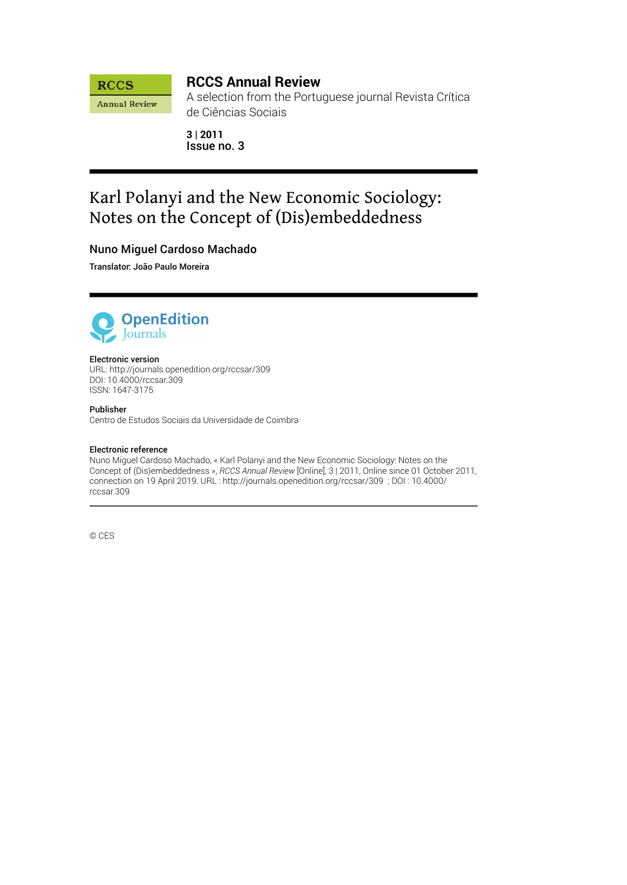

## **RCCS Annual Review**

A selection from the Portuguese journal Revista Crítica de Ciências Sociais

**3 | 2011** Issue no. 3

# Karl Polanyi and the New Economic Sociology: Notes on the Concept of (Dis)embeddedness

# Nuno Miguel Cardoso Machado

Translator: João Paulo Moreira



#### Electronic version

URL:<http://journals.openedition.org/rccsar/309> DOI: 10.4000/rccsar.309 ISSN: 1647-3175

#### Publisher

Centro de Estudos Sociais da Universidade de Coimbra

#### Electronic reference

Nuno Miguel Cardoso Machado, « Karl Polanyi and the New Economic Sociology: Notes on the Concept of (Dis)embeddedness », *RCCS Annual Review* [Online], 3 | 2011, Online since 01 October 2011, connection on 19 April 2019. URL : http://journals.openedition.org/rccsar/309 ; DOI : 10.4000/ rccsar.309

© CES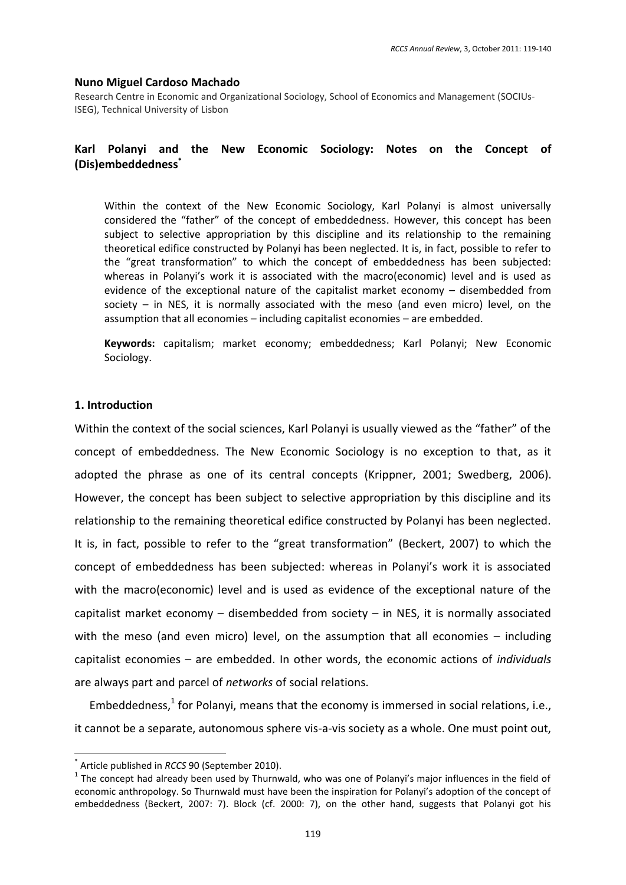#### **Nuno Miguel Cardoso Machado**

Research Centre in Economic and Organizational Sociology, School of Economics and Management (SOCIUs-ISEG), Technical University of Lisbon

#### Polanyi and the New Economic Sociology: Notes on the Concept of Karl (Dis)embeddedness<sup>\*</sup>

Within the context of the New Economic Sociology, Karl Polanyi is almost universally considered the "father" of the concept of embeddedness. However, this concept has been subject to selective appropriation by this discipline and its relationship to the remaining theoretical edifice constructed by Polanyi has been neglected. It is, in fact, possible to refer to the "great transformation" to which the concept of embeddedness has been subjected: whereas in Polanyi's work it is associated with the macro(economic) level and is used as evidence of the exceptional nature of the capitalist market economy - disembedded from society - in NES, it is normally associated with the meso (and even micro) level, on the assumption that all economies - including capitalist economies - are embedded.

Keywords: capitalism; market economy; embeddedness; Karl Polanyi; New Economic Sociology.

#### 1. Introduction

Within the context of the social sciences, Karl Polanyi is usually viewed as the "father" of the concept of embeddedness. The New Economic Sociology is no exception to that, as it adopted the phrase as one of its central concepts (Krippner, 2001; Swedberg, 2006). However, the concept has been subject to selective appropriation by this discipline and its relationship to the remaining theoretical edifice constructed by Polanyi has been neglected. It is, in fact, possible to refer to the "great transformation" (Beckert, 2007) to which the concept of embeddedness has been subjected: whereas in Polanyi's work it is associated with the macro(economic) level and is used as evidence of the exceptional nature of the capitalist market economy  $-$  disembedded from society  $-$  in NES, it is normally associated with the meso (and even micro) level, on the assumption that all economies  $-$  including capitalist economies – are embedded. In other words, the economic actions of *individuals* are always part and parcel of networks of social relations.

Embeddedness,<sup>1</sup> for Polanyi, means that the economy is immersed in social relations, i.e., it cannot be a separate, autonomous sphere vis-a-vis society as a whole. One must point out,

Article published in RCCS 90 (September 2010).

 $1$  The concept had already been used by Thurnwald, who was one of Polanyi's major influences in the field of economic anthropology. So Thurnwald must have been the inspiration for Polanyi's adoption of the concept of embeddedness (Beckert, 2007: 7). Block (cf. 2000: 7), on the other hand, suggests that Polanyi got his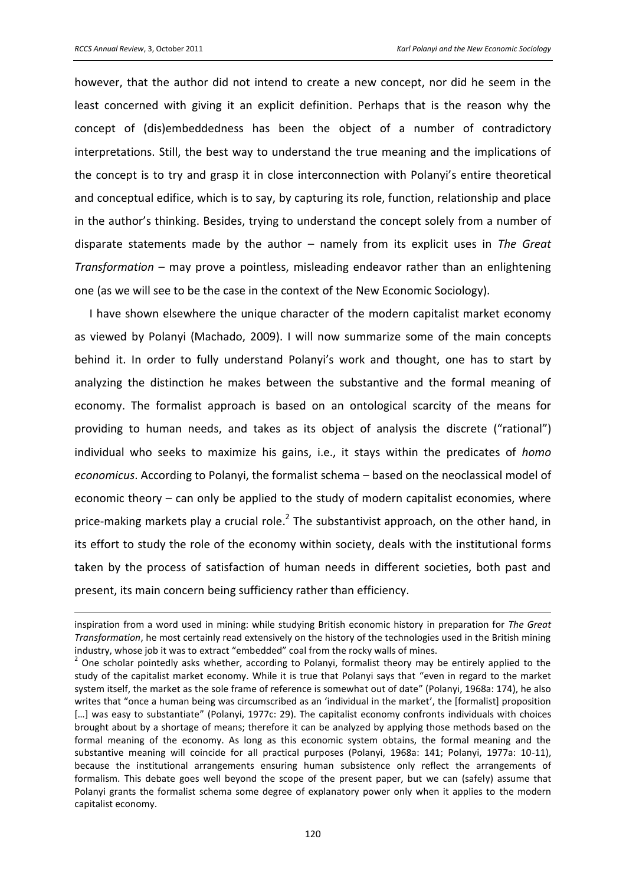$\overline{a}$ 

however, that the author did not intend to create a new concept, nor did he seem in the least concerned with giving it an explicit definition. Perhaps that is the reason why the concept of (dis)embeddedness has been the object of a number of contradictory interpretations. Still, the best way to understand the true meaning and the implications of the concept is to try and grasp it in close interconnection with Polanyi's entire theoretical and conceptual edifice, which is to say, by capturing its role, function, relationship and place in the author's thinking. Besides, trying to understand the concept solely from a number of disparate statements made by the author – namely from its explicit uses in *The Great Transformation* – may prove a pointless, misleading endeavor rather than an enlightening one (as we will see to be the case in the context of the New Economic Sociology).

I have shown elsewhere the unique character of the modern capitalist market economy as viewed by Polanyi (Machado, 2009). I will now summarize some of the main concepts behind it. In order to fully understand Polanyi's work and thought, one has to start by analyzing the distinction he makes between the substantive and the formal meaning of economy. The formalist approach is based on an ontological scarcity of the means for providing to human needs, and takes as its object of analysis the discrete ("rational") individual who seeks to maximize his gains, i.e., it stays within the predicates of *homo economicus*. According to Polanyi, the formalist schema – based on the neoclassical model of economic theory – can only be applied to the study of modern capitalist economies, where price-making markets play a crucial role.<sup>2</sup> The substantivist approach, on the other hand, in its effort to study the role of the economy within society, deals with the institutional forms taken by the process of satisfaction of human needs in different societies, both past and present, its main concern being sufficiency rather than efficiency.

inspiration from a word used in mining: while studying British economic history in preparation for *The Great Transformation*, he most certainly read extensively on the history of the technologies used in the British mining industry, whose job it was to extract "embedded" coal from the rocky walls of mines.

 $2$  One scholar pointedly asks whether, according to Polanyi, formalist theory may be entirely applied to the study of the capitalist market economy. While it is true that Polanyi says that "even in regard to the market system itself, the market as the sole frame of reference is somewhat out of date" (Polanyi, 1968a: 174), he also writes that "once a human being was circumscribed as an 'individual in the market', the [formalist] proposition [...] was easy to substantiate" (Polanyi, 1977c: 29). The capitalist economy confronts individuals with choices brought about by a shortage of means; therefore it can be analyzed by applying those methods based on the formal meaning of the economy. As long as this economic system obtains, the formal meaning and the substantive meaning will coincide for all practical purposes (Polanyi, 1968a: 141; Polanyi, 1977a: 10-11), because the institutional arrangements ensuring human subsistence only reflect the arrangements of formalism. This debate goes well beyond the scope of the present paper, but we can (safely) assume that Polanyi grants the formalist schema some degree of explanatory power only when it applies to the modern capitalist economy.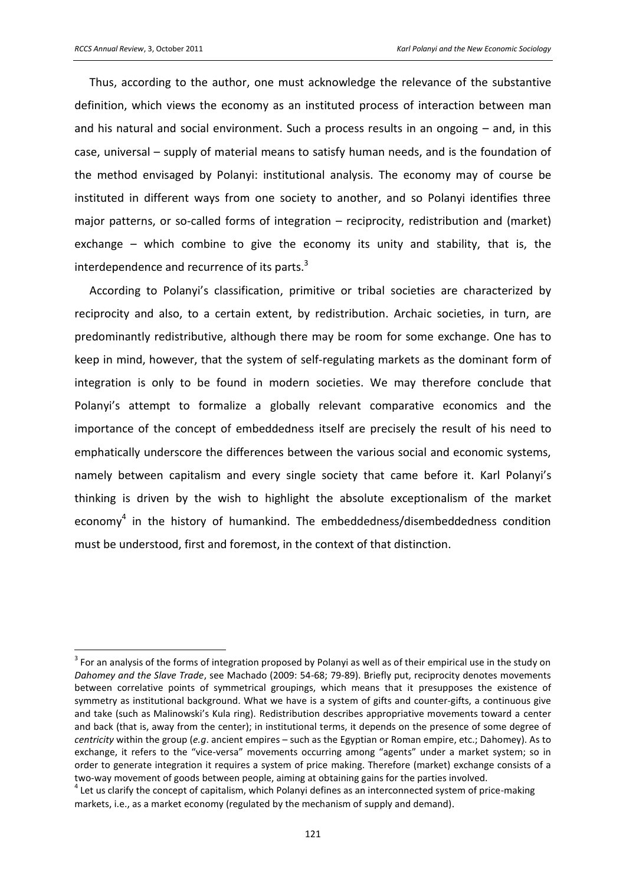$\overline{a}$ 

Thus, according to the author, one must acknowledge the relevance of the substantive definition, which views the economy as an instituted process of interaction between man and his natural and social environment. Such a process results in an ongoing – and, in this case, universal – supply of material means to satisfy human needs, and is the foundation of the method envisaged by Polanyi: institutional analysis. The economy may of course be instituted in different ways from one society to another, and so Polanyi identifies three major patterns, or so-called forms of integration – reciprocity, redistribution and (market) exchange – which combine to give the economy its unity and stability, that is, the interdependence and recurrence of its parts.<sup>3</sup>

According to Polanyi's classification, primitive or tribal societies are characterized by reciprocity and also, to a certain extent, by redistribution. Archaic societies, in turn, are predominantly redistributive, although there may be room for some exchange. One has to keep in mind, however, that the system of self-regulating markets as the dominant form of integration is only to be found in modern societies. We may therefore conclude that Polanyi's attempt to formalize a globally relevant comparative economics and the importance of the concept of embeddedness itself are precisely the result of his need to emphatically underscore the differences between the various social and economic systems, namely between capitalism and every single society that came before it. Karl Polanyi's thinking is driven by the wish to highlight the absolute exceptionalism of the market economy<sup>4</sup> in the history of humankind. The embeddedness/disembeddedness condition must be understood, first and foremost, in the context of that distinction.

 $3$  For an analysis of the forms of integration proposed by Polanyi as well as of their empirical use in the study on *Dahomey and the Slave Trade*, see Machado (2009: 54-68; 79-89). Briefly put, reciprocity denotes movements between correlative points of symmetrical groupings, which means that it presupposes the existence of symmetry as institutional background. What we have is a system of gifts and counter-gifts, a continuous give and take (such as Malinowski's Kula ring). Redistribution describes appropriative movements toward a center and back (that is, away from the center); in institutional terms, it depends on the presence of some degree of *centricity* within the group (*e.g*. ancient empires – such as the Egyptian or Roman empire, etc.; Dahomey). As to exchange, it refers to the "vice-versa" movements occurring among "agents" under a market system; so in order to generate integration it requires a system of price making. Therefore (market) exchange consists of a two-way movement of goods between people, aiming at obtaining gains for the parties involved.

<sup>&</sup>lt;sup>4</sup> Let us clarify the concept of capitalism, which Polanyi defines as an interconnected system of price-making markets, i.e., as a market economy (regulated by the mechanism of supply and demand).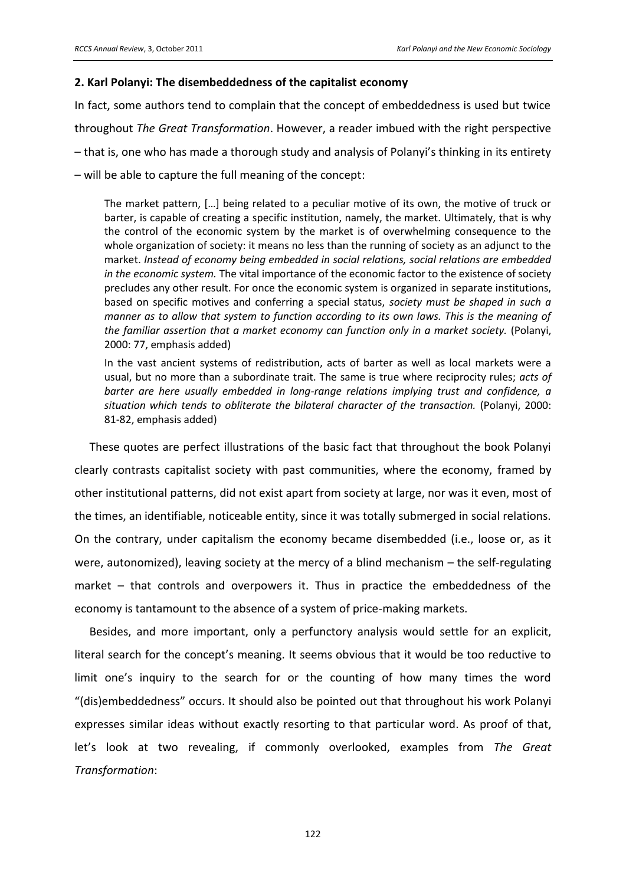#### **2. Karl Polanyi: The disembeddedness of the capitalist economy**

In fact, some authors tend to complain that the concept of embeddedness is used but twice throughout *The Great Transformation*. However, a reader imbued with the right perspective – that is, one who has made a thorough study and analysis of Polanyi's thinking in its entirety – will be able to capture the full meaning of the concept:

The market pattern, [...] being related to a peculiar motive of its own, the motive of truck or barter, is capable of creating a specific institution, namely, the market. Ultimately, that is why the control of the economic system by the market is of overwhelming consequence to the whole organization of society: it means no less than the running of society as an adjunct to the market. *Instead of economy being embedded in social relations, social relations are embedded in the economic system.* The vital importance of the economic factor to the existence of society precludes any other result. For once the economic system is organized in separate institutions, based on specific motives and conferring a special status, *society must be shaped in such a manner as to allow that system to function according to its own laws. This is the meaning of the familiar assertion that a market economy can function only in a market society.* (Polanyi, 2000: 77, emphasis added)

In the vast ancient systems of redistribution, acts of barter as well as local markets were a usual, but no more than a subordinate trait. The same is true where reciprocity rules; *acts of barter are here usually embedded in long-range relations implying trust and confidence, a situation which tends to obliterate the bilateral character of the transaction.* (Polanyi, 2000: 81-82, emphasis added)

These quotes are perfect illustrations of the basic fact that throughout the book Polanyi clearly contrasts capitalist society with past communities, where the economy, framed by other institutional patterns, did not exist apart from society at large, nor was it even, most of the times, an identifiable, noticeable entity, since it was totally submerged in social relations. On the contrary, under capitalism the economy became disembedded (i.e., loose or, as it were, autonomized), leaving society at the mercy of a blind mechanism – the self-regulating market – that controls and overpowers it. Thus in practice the embeddedness of the economy is tantamount to the absence of a system of price-making markets.

Besides, and more important, only a perfunctory analysis would settle for an explicit, literal search for the concept's meaning. It seems obvious that it would be too reductive to limit one's inquiry to the search for or the counting of how many times the word "(dis)embeddedness" occurs. It should also be pointed out that throughout his work Polanyi expresses similar ideas without exactly resorting to that particular word. As proof of that, let's look at two revealing, if commonly overlooked, examples from The Great *Transformation*: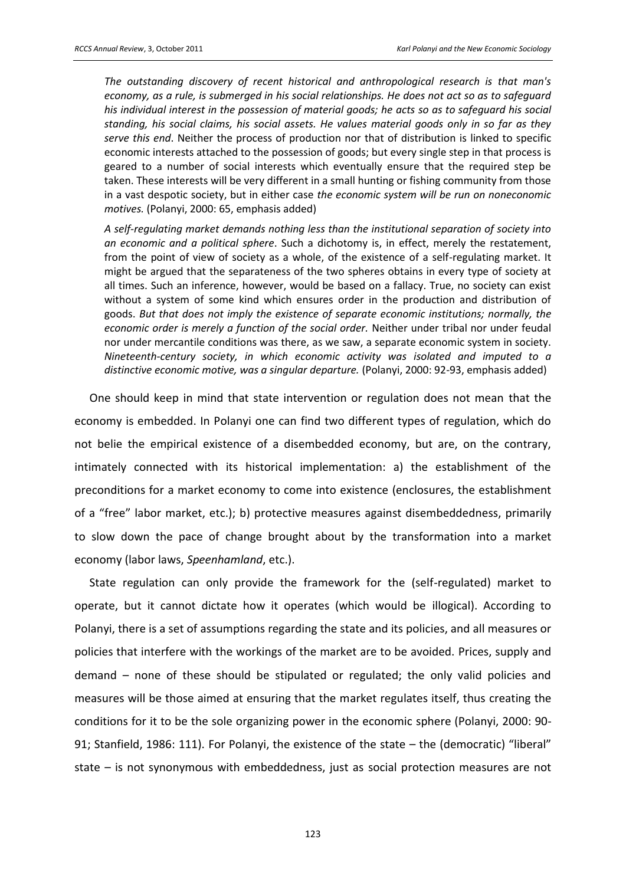*The outstanding discovery of recent historical and anthropological research is that man's economy, as a rule, is submerged in his social relationships. He does not act so as to safeguard his individual interest in the possession of material goods; he acts so as to safeguard his social standing, his social claims, his social assets. He values material goods only in so far as they serve this end*. Neither the process of production nor that of distribution is linked to specific economic interests attached to the possession of goods; but every single step in that process is geared to a number of social interests which eventually ensure that the required step be taken. These interests will be very different in a small hunting or fishing community from those in a vast despotic society, but in either case *the economic system will be run on noneconomic motives.* (Polanyi, 2000: 65, emphasis added)

*A self-regulating market demands nothing less than the institutional separation of society into an economic and a political sphere*. Such a dichotomy is, in effect, merely the restatement, from the point of view of society as a whole, of the existence of a self-regulating market. It might be argued that the separateness of the two spheres obtains in every type of society at all times. Such an inference, however, would be based on a fallacy. True, no society can exist without a system of some kind which ensures order in the production and distribution of goods. *But that does not imply the existence of separate economic institutions; normally, the economic order is merely a function of the social order.* Neither under tribal nor under feudal nor under mercantile conditions was there, as we saw, a separate economic system in society. *Nineteenth-century society, in which economic activity was isolated and imputed to a distinctive economic motive, was a singular departure.* (Polanyi, 2000: 92-93, emphasis added)

One should keep in mind that state intervention or regulation does not mean that the economy is embedded. In Polanyi one can find two different types of regulation, which do not belie the empirical existence of a disembedded economy, but are, on the contrary, intimately connected with its historical implementation: a) the establishment of the preconditions for a market economy to come into existence (enclosures, the establishment of a "free" labor market, etc.); b) protective measures against disembeddedness, primarily to slow down the pace of change brought about by the transformation into a market economy (labor laws, *Speenhamland*, etc.).

State regulation can only provide the framework for the (self-regulated) market to operate, but it cannot dictate how it operates (which would be illogical). According to Polanyi, there is a set of assumptions regarding the state and its policies, and all measures or policies that interfere with the workings of the market are to be avoided. Prices, supply and demand – none of these should be stipulated or regulated; the only valid policies and measures will be those aimed at ensuring that the market regulates itself, thus creating the conditions for it to be the sole organizing power in the economic sphere (Polanyi, 2000: 90- 91; Stanfield, 1986: 111). For Polanyi, the existence of the state – the (democratic) "liberal" state – is not synonymous with embeddedness, just as social protection measures are not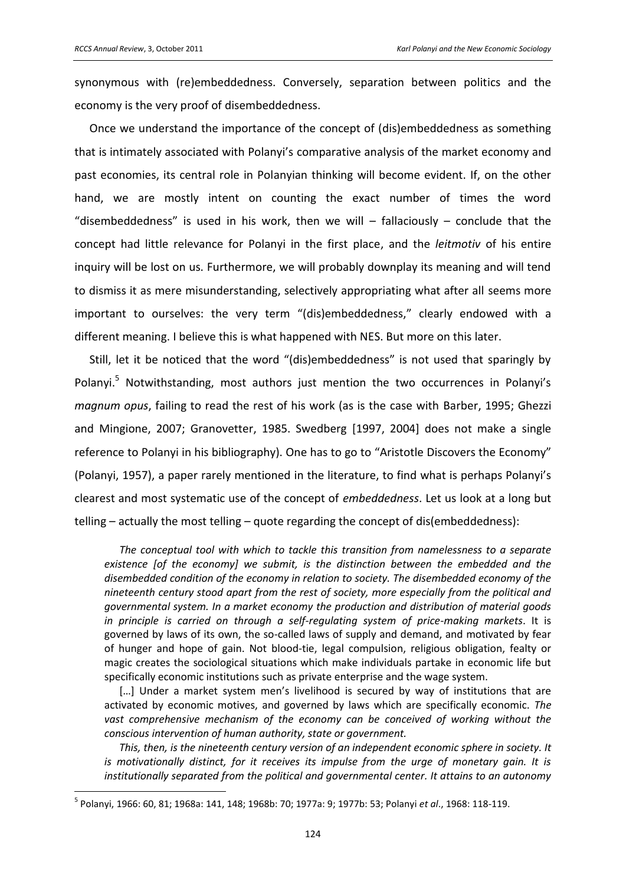$\overline{a}$ 

synonymous with (re)embeddedness. Conversely, separation between politics and the economy is the very proof of disembeddedness.

Once we understand the importance of the concept of (dis)embeddedness as something that is intimately associated with Polanyi's comparative analysis of the market economy and past economies, its central role in Polanyian thinking will become evident. If, on the other hand, we are mostly intent on counting the exact number of times the word "disembeddedness" is used in his work, then we will – fallaciously – conclude that the concept had little relevance for Polanyi in the first place, and the *leitmotiv* of his entire inquiry will be lost on us. Furthermore, we will probably downplay its meaning and will tend to dismiss it as mere misunderstanding, selectively appropriating what after all seems more important to ourselves: the very term "(dis)embeddedness," clearly endowed with a different meaning. I believe this is what happened with NES. But more on this later.

Still, let it be noticed that the word "(dis)embeddedness" is not used that sparingly by Polanyi.<sup>5</sup> Notwithstanding, most authors just mention the two occurrences in Polanyi's *magnum opus*, failing to read the rest of his work (as is the case with Barber, 1995; Ghezzi and Mingione, 2007; Granovetter, 1985. Swedberg [1997, 2004] does not make a single reference to Polanyi in his bibliography). One has to go to "Aristotle Discovers the Economy" (Polanyi, 1957), a paper rarely mentioned in the literature, to find what is perhaps Polanyi's clearest and most systematic use of the concept of *embeddedness*. Let us look at a long but telling – actually the most telling – quote regarding the concept of dis(embeddedness):

*The conceptual tool with which to tackle this transition from namelessness to a separate existence [of the economy] we submit, is the distinction between the embedded and the disembedded condition of the economy in relation to society. The disembedded economy of the nineteenth century stood apart from the rest of society, more especially from the political and governmental system. In a market economy the production and distribution of material goods in principle is carried on through a self-regulating system of price-making markets*. It is governed by laws of its own, the so-called laws of supply and demand, and motivated by fear of hunger and hope of gain. Not blood-tie, legal compulsion, religious obligation, fealty or magic creates the sociological situations which make individuals partake in economic life but specifically economic institutions such as private enterprise and the wage system.

[...] Under a market system men's livelihood is secured by way of institutions that are activated by economic motives, and governed by laws which are specifically economic. *The vast comprehensive mechanism of the economy can be conceived of working without the conscious intervention of human authority, state or government.*

*This, then, is the nineteenth century version of an independent economic sphere in society. It is motivationally distinct, for it receives its impulse from the urge of monetary gain. It is institutionally separated from the political and governmental center. It attains to an autonomy* 

<sup>5</sup> Polanyi, 1966: 60, 81; 1968a: 141, 148; 1968b: 70; 1977a: 9; 1977b: 53; Polanyi *et al*., 1968: 118-119.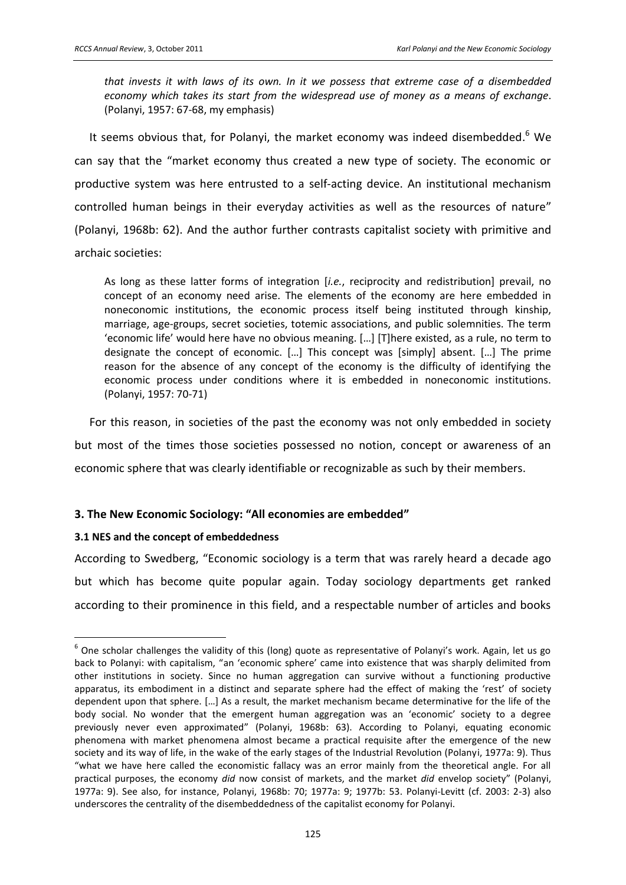*that invests it with laws of its own. In it we possess that extreme case of a disembedded economy which takes its start from the widespread use of money as a means of exchange*. (Polanyi, 1957: 67-68, my emphasis)

It seems obvious that, for Polanyi, the market economy was indeed disembedded. $6$  We can say that the "market economy thus created a new type of society. The economic or productive system was here entrusted to a self-acting device. An institutional mechanism controlled human beings in their everyday activities as well as the resources of nature" (Polanyi, 1968b: 62). And the author further contrasts capitalist society with primitive and archaic societies:

As long as these latter forms of integration [*i.e.*, reciprocity and redistribution] prevail, no concept of an economy need arise. The elements of the economy are here embedded in noneconomic institutions, the economic process itself being instituted through kinship, marriage, age-groups, secret societies, totemic associations, and public solemnities. The term 'economic life' would here have no obvious meaning. [...] [T]here existed, as a rule, no term to designate the concept of economic. [...] This concept was [simply] absent. [...] The prime reason for the absence of any concept of the economy is the difficulty of identifying the economic process under conditions where it is embedded in noneconomic institutions. (Polanyi, 1957: 70-71)

For this reason, in societies of the past the economy was not only embedded in society but most of the times those societies possessed no notion, concept or awareness of an economic sphere that was clearly identifiable or recognizable as such by their members.

### **3. The New Economic Sociology: "All economies are embedded"**

### **3.1 NES and the concept of embeddedness**

 $\overline{a}$ 

According to Swedberg, "Economic sociology is a term that was rarely heard a decade ago but which has become quite popular again. Today sociology departments get ranked according to their prominence in this field, and a respectable number of articles and books

 $^6$  One scholar challenges the validity of this (long) quote as representative of Polanyi's work. Again, let us go back to Polanyi: with capitalism, "an 'economic sphere' came into existence that was sharply delimited from other institutions in society. Since no human aggregation can survive without a functioning productive apparatus, its embodiment in a distinct and separate sphere had the effect of making the 'rest' of society dependent upon that sphere. […] As a result, the market mechanism became determinative for the life of the body social. No wonder that the emergent human aggregation was an 'economic' society to a degree previously never even approximated" (Polanyi, 1968b: 63). According to Polanyi, equating economic phenomena with market phenomena almost became a practical requisite after the emergence of the new society and its way of life, in the wake of the early stages of the Industrial Revolution (Polanyi, 1977a: 9). Thus ͞what we have here called the economistic fallacy was an error mainly from the theoretical angle. For all practical purposes, the economy *did* now consist of markets, and the market *did* envelop society" (Polanyi, 1977a: 9). See also, for instance, Polanyi, 1968b: 70; 1977a: 9; 1977b: 53. Polanyi-Levitt (cf. 2003: 2-3) also underscores the centrality of the disembeddedness of the capitalist economy for Polanyi.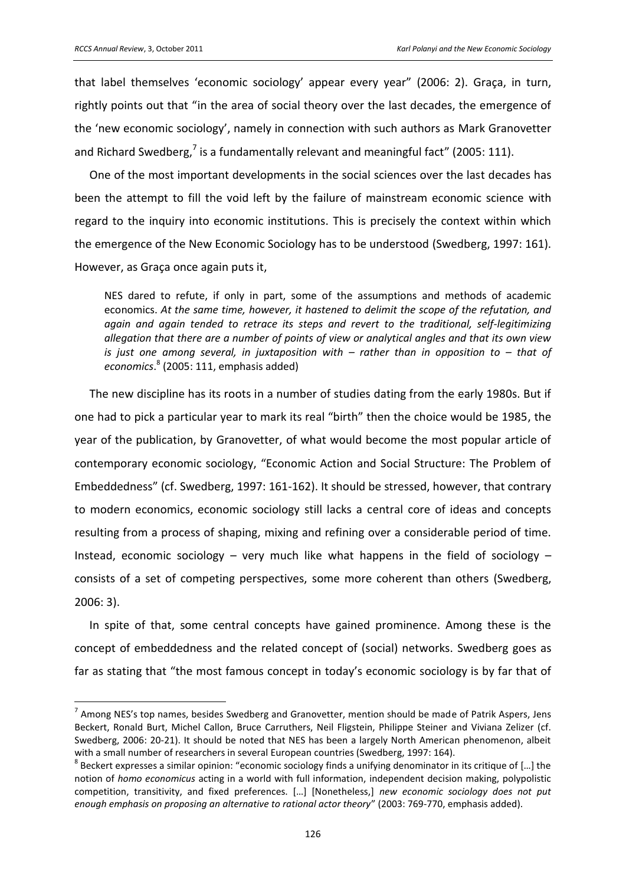that label themselves 'economic sociology' appear every year" (2006: 2). Graça, in turn, rightly points out that "in the area of social theory over the last decades, the emergence of the 'new economic sociology', namely in connection with such authors as Mark Granovetter and Richard Swedberg,<sup>7</sup> is a fundamentally relevant and meaningful fact" (2005: 111).

One of the most important developments in the social sciences over the last decades has been the attempt to fill the void left by the failure of mainstream economic science with regard to the inquiry into economic institutions. This is precisely the context within which the emergence of the New Economic Sociology has to be understood (Swedberg, 1997: 161). However, as Graça once again puts it,

NES dared to refute, if only in part, some of the assumptions and methods of academic economics. At the same time, however, it hastened to delimit the scope of the refutation, and again and again tended to retrace its steps and revert to the traditional, self-legitimizing allegation that there are a number of points of view or analytical angles and that its own view is just one among several, in juxtaposition with  $-$  rather than in opposition to  $-$  that of economics.<sup>8</sup> (2005: 111, emphasis added)

The new discipline has its roots in a number of studies dating from the early 1980s. But if one had to pick a particular year to mark its real "birth" then the choice would be 1985, the year of the publication, by Granovetter, of what would become the most popular article of contemporary economic sociology, "Economic Action and Social Structure: The Problem of Embeddedness" (cf. Swedberg, 1997: 161-162). It should be stressed, however, that contrary to modern economics, economic sociology still lacks a central core of ideas and concepts resulting from a process of shaping, mixing and refining over a considerable period of time. Instead, economic sociology - very much like what happens in the field of sociology consists of a set of competing perspectives, some more coherent than others (Swedberg,  $2006:3$ ).

In spite of that, some central concepts have gained prominence. Among these is the concept of embeddedness and the related concept of (social) networks. Swedberg goes as far as stating that "the most famous concept in today's economic sociology is by far that of

 $^7$  Among NES's top names, besides Swedberg and Granovetter, mention should be made of Patrik Aspers, Jens Beckert, Ronald Burt, Michel Callon, Bruce Carruthers, Neil Fligstein, Philippe Steiner and Viviana Zelizer (cf. Swedberg, 2006: 20-21). It should be noted that NES has been a largely North American phenomenon, albeit with a small number of researchers in several European countries (Swedberg, 1997: 164).

 $8$  Beckert expresses a similar opinion: "economic sociology finds a unifying denominator in its critique of [...] the notion of homo economicus acting in a world with full information, independent decision making, polypolistic competition, transitivity, and fixed preferences. [...] [Nonetheless,] new economic sociology does not put enough emphasis on proposing an alternative to rational actor theory" (2003: 769-770, emphasis added).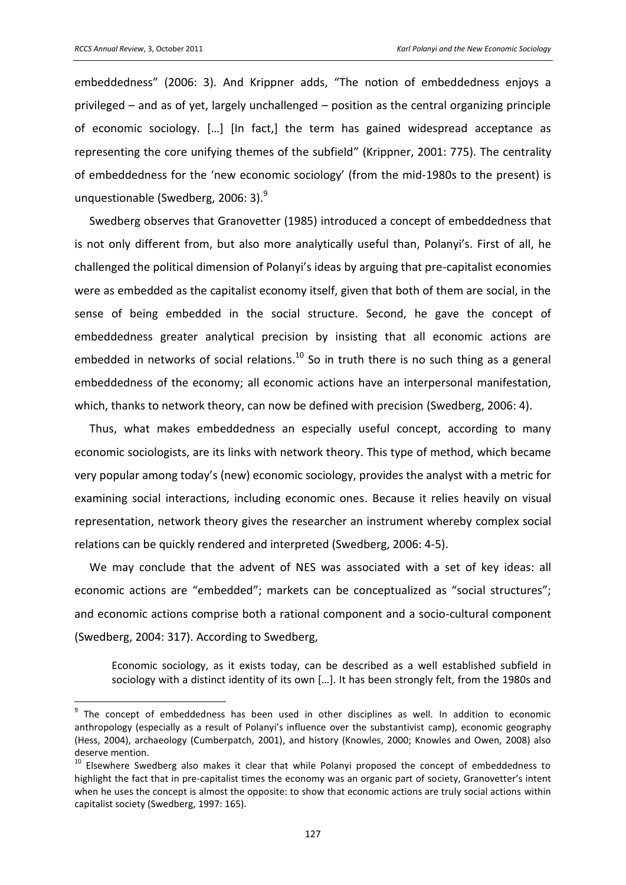embeddedness" (2006: 3). And Krippner adds, "The notion of embeddedness enjoys a privileged - and as of yet, largely unchallenged - position as the central organizing principle of economic sociology. [...] [In fact,] the term has gained widespread acceptance as representing the core unifying themes of the subfield" (Krippner, 2001: 775). The centrality of embeddedness for the 'new economic sociology' (from the mid-1980s to the present) is unquestionable (Swedberg, 2006: 3).<sup>9</sup>

Swedberg observes that Granovetter (1985) introduced a concept of embeddedness that is not only different from, but also more analytically useful than, Polanyi's. First of all, he challenged the political dimension of Polanyi's ideas by arguing that pre-capitalist economies were as embedded as the capitalist economy itself, given that both of them are social, in the sense of being embedded in the social structure. Second, he gave the concept of embeddedness greater analytical precision by insisting that all economic actions are embedded in networks of social relations. $^{10}$  So in truth there is no such thing as a general embeddedness of the economy; all economic actions have an interpersonal manifestation, which, thanks to network theory, can now be defined with precision (Swedberg, 2006: 4).

Thus, what makes embeddedness an especially useful concept, according to many economic sociologists, are its links with network theory. This type of method, which became very popular among today's (new) economic sociology, provides the analyst with a metric for examining social interactions, including economic ones. Because it relies heavily on visual representation, network theory gives the researcher an instrument whereby complex social relations can be quickly rendered and interpreted (Swedberg, 2006: 4-5).

We may conclude that the advent of NES was associated with a set of key ideas: all economic actions are "embedded"; markets can be conceptualized as "social structures"; and economic actions comprise both a rational component and a socio-cultural component (Swedberg, 2004: 317). According to Swedberg,

Economic sociology, as it exists today, can be described as a well established subfield in sociology with a distinct identity of its own [...]. It has been strongly felt, from the 1980s and

<sup>&</sup>lt;sup>9</sup> The concept of embeddedness has been used in other disciplines as well. In addition to economic anthropology (especially as a result of Polanyi's influence over the substantivist camp), economic geography (Hess, 2004), archaeology (Cumberpatch, 2001), and history (Knowles, 2000; Knowles and Owen, 2008) also deserve mention.

<sup>&</sup>lt;sup>10</sup> Elsewhere Swedberg also makes it clear that while Polanyi proposed the concept of embeddedness to highlight the fact that in pre-capitalist times the economy was an organic part of society. Granovetter's intent when he uses the concept is almost the opposite: to show that economic actions are truly social actions within capitalist society (Swedberg, 1997: 165).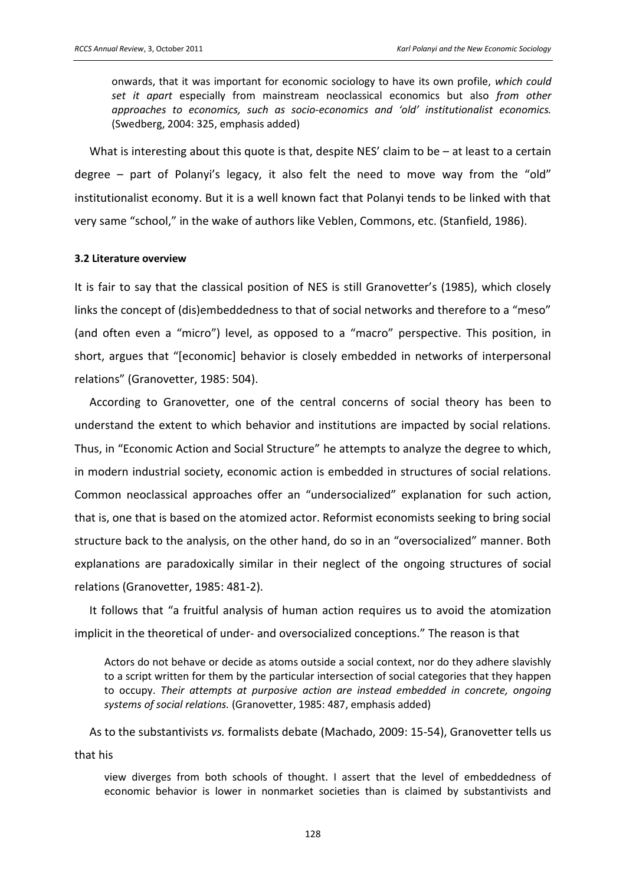onwards, that it was important for economic sociology to have its own profile, which could set it apart especially from mainstream neoclassical economics but also from other approaches to economics, such as socio-economics and 'old' institutionalist economics. (Swedberg, 2004: 325, emphasis added)

What is interesting about this quote is that, despite NES' claim to be - at least to a certain degree - part of Polanyi's legacy, it also felt the need to move way from the "old" institutionalist economy. But it is a well known fact that Polanyi tends to be linked with that very same "school," in the wake of authors like Veblen, Commons, etc. (Stanfield, 1986).

#### 3.2 Literature overview

It is fair to say that the classical position of NES is still Granovetter's (1985), which closely links the concept of (dis)embeddedness to that of social networks and therefore to a "meso" (and often even a "micro") level, as opposed to a "macro" perspective. This position, in short, argues that "[economic] behavior is closely embedded in networks of interpersonal relations" (Granovetter, 1985: 504).

According to Granovetter, one of the central concerns of social theory has been to understand the extent to which behavior and institutions are impacted by social relations. Thus, in "Economic Action and Social Structure" he attempts to analyze the degree to which, in modern industrial society, economic action is embedded in structures of social relations. Common neoclassical approaches offer an "undersocialized" explanation for such action, that is, one that is based on the atomized actor. Reformist economists seeking to bring social structure back to the analysis, on the other hand, do so in an "oversocialized" manner. Both explanations are paradoxically similar in their neglect of the ongoing structures of social relations (Granovetter, 1985: 481-2).

It follows that "a fruitful analysis of human action requires us to avoid the atomization implicit in the theoretical of under- and oversocialized conceptions." The reason is that

Actors do not behave or decide as atoms outside a social context, nor do they adhere slavishly to a script written for them by the particular intersection of social categories that they happen to occupy. Their attempts at purposive action are instead embedded in concrete, ongoing systems of social relations. (Granovetter, 1985: 487, emphasis added)

As to the substantivists vs. formalists debate (Machado, 2009: 15-54), Granovetter tells us that his

view diverges from both schools of thought. I assert that the level of embeddedness of economic behavior is lower in nonmarket societies than is claimed by substantivists and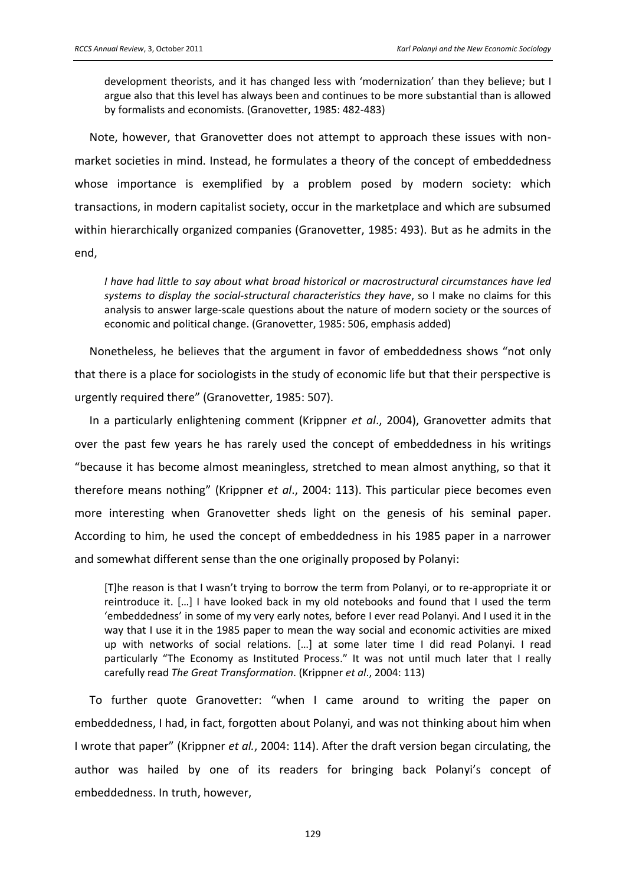development theorists, and it has changed less with 'modernization' than they believe; but I argue also that this level has always been and continues to be more substantial than is allowed by formalists and economists. (Granovetter, 1985: 482-483)

Note, however, that Granovetter does not attempt to approach these issues with nonmarket societies in mind. Instead, he formulates a theory of the concept of embeddedness whose importance is exemplified by a problem posed by modern society: which transactions, in modern capitalist society, occur in the marketplace and which are subsumed within hierarchically organized companies (Granovetter, 1985: 493). But as he admits in the end,

I have had little to say about what broad historical or macrostructural circumstances have led systems to display the social-structural characteristics they have, so I make no claims for this analysis to answer large-scale questions about the nature of modern society or the sources of economic and political change. (Granovetter, 1985: 506, emphasis added)

Nonetheless, he believes that the argument in favor of embeddedness shows "not only that there is a place for sociologists in the study of economic life but that their perspective is urgently required there" (Granovetter, 1985: 507).

In a particularly enlightening comment (Krippner et al., 2004), Granovetter admits that over the past few years he has rarely used the concept of embeddedness in his writings "because it has become almost meaningless, stretched to mean almost anything, so that it therefore means nothing" (Krippner et al., 2004: 113). This particular piece becomes even more interesting when Granovetter sheds light on the genesis of his seminal paper. According to him, he used the concept of embeddedness in his 1985 paper in a narrower and somewhat different sense than the one originally proposed by Polanyi:

[T]he reason is that I wasn't trying to borrow the term from Polanyi, or to re-appropriate it or reintroduce it. [...] I have looked back in my old notebooks and found that I used the term embeddedness' in some of my very early notes, before I ever read Polanyi. And I used it in the way that I use it in the 1985 paper to mean the way social and economic activities are mixed up with networks of social relations. [...] at some later time I did read Polanyi. I read particularly "The Economy as Instituted Process." It was not until much later that I really carefully read The Great Transformation. (Krippner et al., 2004: 113)

To further quote Granovetter: "when I came around to writing the paper on embeddedness, I had, in fact, forgotten about Polanyi, and was not thinking about him when I wrote that paper" (Krippner et al., 2004: 114). After the draft version began circulating, the author was hailed by one of its readers for bringing back Polanyi's concept of embeddedness. In truth, however,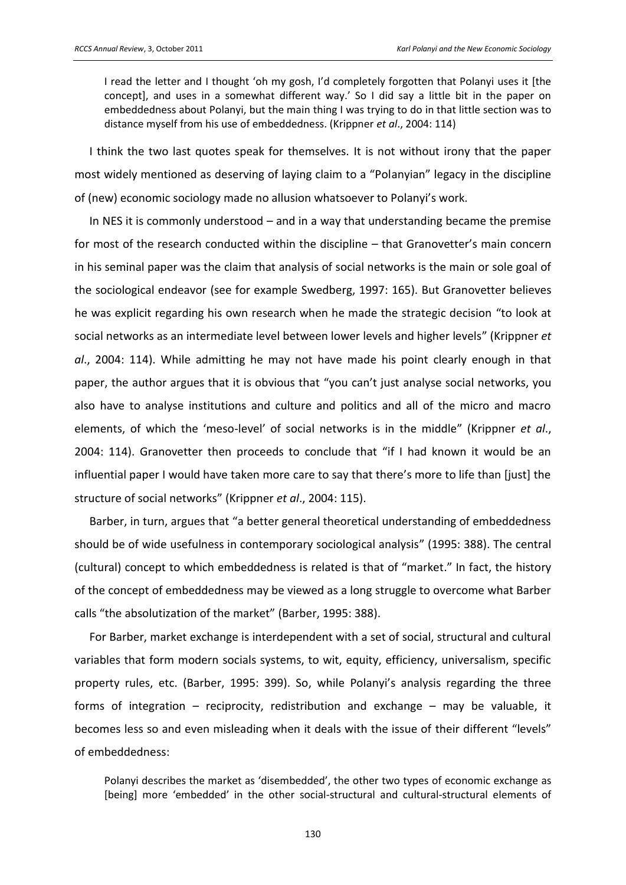I read the letter and I thought 'oh my gosh, I'd completely forgotten that Polanyi uses it [the concept], and uses in a somewhat different way.' So I did say a little bit in the paper on embeddedness about Polanyi, but the main thing I was trying to do in that little section was to distance myself from his use of embeddedness. (Krippner et al., 2004: 114)

I think the two last quotes speak for themselves. It is not without irony that the paper most widely mentioned as deserving of laying claim to a "Polanyian" legacy in the discipline of (new) economic sociology made no allusion whatsoever to Polanyi's work.

In NES it is commonly understood  $-$  and in a way that understanding became the premise for most of the research conducted within the discipline – that Granovetter's main concern in his seminal paper was the claim that analysis of social networks is the main or sole goal of the sociological endeavor (see for example Swedberg, 1997: 165). But Granovetter believes he was explicit regarding his own research when he made the strategic decision "to look at social networks as an intermediate level between lower levels and higher levels" (Krippner et al., 2004: 114). While admitting he may not have made his point clearly enough in that paper, the author argues that it is obvious that "you can't just analyse social networks, you also have to analyse institutions and culture and politics and all of the micro and macro elements, of which the 'meso-level' of social networks is in the middle" (Krippner et al., 2004: 114). Granovetter then proceeds to conclude that "if I had known it would be an influential paper I would have taken more care to say that there's more to life than [just] the structure of social networks" (Krippner et al., 2004: 115).

Barber, in turn, argues that "a better general theoretical understanding of embeddedness should be of wide usefulness in contemporary sociological analysis" (1995: 388). The central (cultural) concept to which embeddedness is related is that of "market." In fact, the history of the concept of embeddedness may be viewed as a long struggle to overcome what Barber calls "the absolutization of the market" (Barber, 1995: 388).

For Barber, market exchange is interdependent with a set of social, structural and cultural variables that form modern socials systems, to wit, equity, efficiency, universalism, specific property rules, etc. (Barber, 1995: 399). So, while Polanyi's analysis regarding the three forms of integration - reciprocity, redistribution and exchange - may be valuable, it becomes less so and even misleading when it deals with the issue of their different "levels" of embeddedness:

Polanyi describes the market as 'disembedded', the other two types of economic exchange as [being] more 'embedded' in the other social-structural and cultural-structural elements of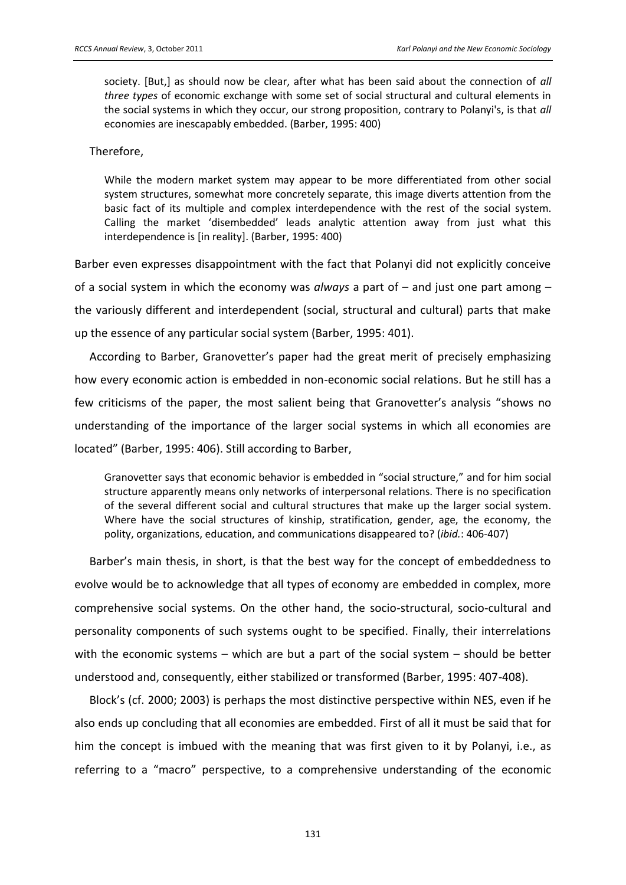society. [But,] as should now be clear, after what has been said about the connection of *all three types* of economic exchange with some set of social structural and cultural elements in the social systems in which they occur, our strong proposition, contrary to Polanyi's, is that *all*  economies are inescapably embedded. (Barber, 1995: 400)

#### Therefore,

While the modern market system may appear to be more differentiated from other social system structures, somewhat more concretely separate, this image diverts attention from the basic fact of its multiple and complex interdependence with the rest of the social system. Calling the market 'disembedded' leads analytic attention away from just what this interdependence is [in reality]. (Barber, 1995: 400)

Barber even expresses disappointment with the fact that Polanyi did not explicitly conceive of a social system in which the economy was *always* a part of – and just one part among – the variously different and interdependent (social, structural and cultural) parts that make up the essence of any particular social system (Barber, 1995: 401).

According to Barber, Granovetter's paper had the great merit of precisely emphasizing how every economic action is embedded in non-economic social relations. But he still has a few criticisms of the paper, the most salient being that Granovetter's analysis "shows no understanding of the importance of the larger social systems in which all economies are located" (Barber, 1995: 406). Still according to Barber,

Granovetter says that economic behavior is embedded in "social structure," and for him social structure apparently means only networks of interpersonal relations. There is no specification of the several different social and cultural structures that make up the larger social system. Where have the social structures of kinship, stratification, gender, age, the economy, the polity, organizations, education, and communications disappeared to? (*ibid.*: 406-407)

Barber's main thesis, in short, is that the best way for the concept of embeddedness to evolve would be to acknowledge that all types of economy are embedded in complex, more comprehensive social systems. On the other hand, the socio-structural, socio-cultural and personality components of such systems ought to be specified. Finally, their interrelations with the economic systems – which are but a part of the social system – should be better understood and, consequently, either stabilized or transformed (Barber, 1995: 407-408).

Block's (cf. 2000; 2003) is perhaps the most distinctive perspective within NES, even if he also ends up concluding that all economies are embedded. First of all it must be said that for him the concept is imbued with the meaning that was first given to it by Polanyi, i.e., as referring to a "macro" perspective, to a comprehensive understanding of the economic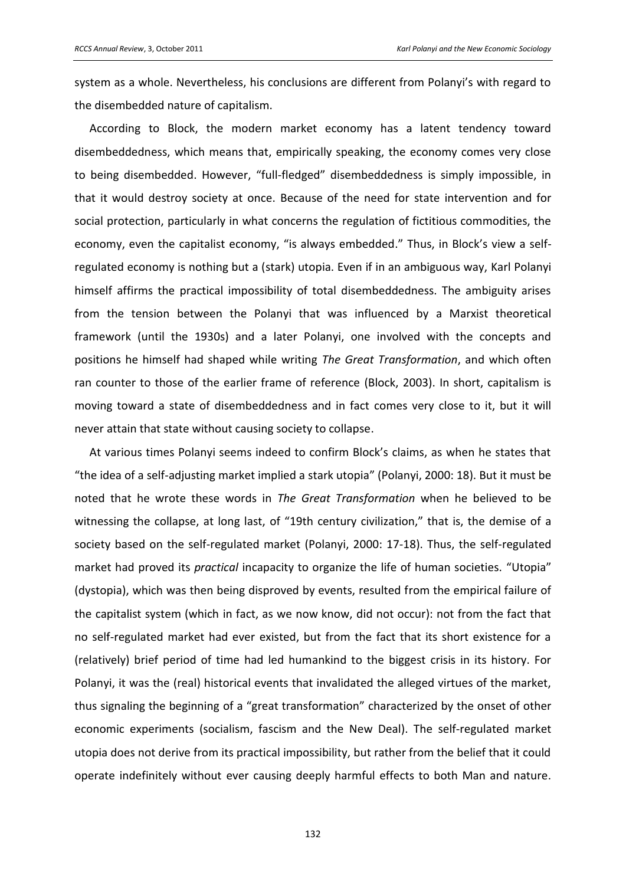system as a whole. Nevertheless, his conclusions are different from Polanyi's with regard to the disembedded nature of capitalism.

According to Block, the modern market economy has a latent tendency toward disembeddedness, which means that, empirically speaking, the economy comes very close to being disembedded. However, "full-fledged" disembeddedness is simply impossible, in that it would destroy society at once. Because of the need for state intervention and for social protection, particularly in what concerns the regulation of fictitious commodities, the economy, even the capitalist economy, "is always embedded." Thus, in Block's view a selfregulated economy is nothing but a (stark) utopia. Even if in an ambiguous way, Karl Polanyi himself affirms the practical impossibility of total disembeddedness. The ambiguity arises from the tension between the Polanyi that was influenced by a Marxist theoretical framework (until the 1930s) and a later Polanyi, one involved with the concepts and positions he himself had shaped while writing The Great Transformation, and which often ran counter to those of the earlier frame of reference (Block, 2003). In short, capitalism is moving toward a state of disembeddedness and in fact comes very close to it, but it will never attain that state without causing society to collapse.

At various times Polanyi seems indeed to confirm Block's claims, as when he states that "the idea of a self-adjusting market implied a stark utopia" (Polanyi, 2000: 18). But it must be noted that he wrote these words in The Great Transformation when he believed to be witnessing the collapse, at long last, of "19th century civilization," that is, the demise of a society based on the self-regulated market (Polanyi, 2000: 17-18). Thus, the self-regulated market had proved its practical incapacity to organize the life of human societies. "Utopia" (dystopia), which was then being disproved by events, resulted from the empirical failure of the capitalist system (which in fact, as we now know, did not occur): not from the fact that no self-regulated market had ever existed, but from the fact that its short existence for a (relatively) brief period of time had led humankind to the biggest crisis in its history. For Polanyi, it was the (real) historical events that invalidated the alleged virtues of the market, thus signaling the beginning of a "great transformation" characterized by the onset of other economic experiments (socialism, fascism and the New Deal). The self-regulated market utopia does not derive from its practical impossibility, but rather from the belief that it could operate indefinitely without ever causing deeply harmful effects to both Man and nature.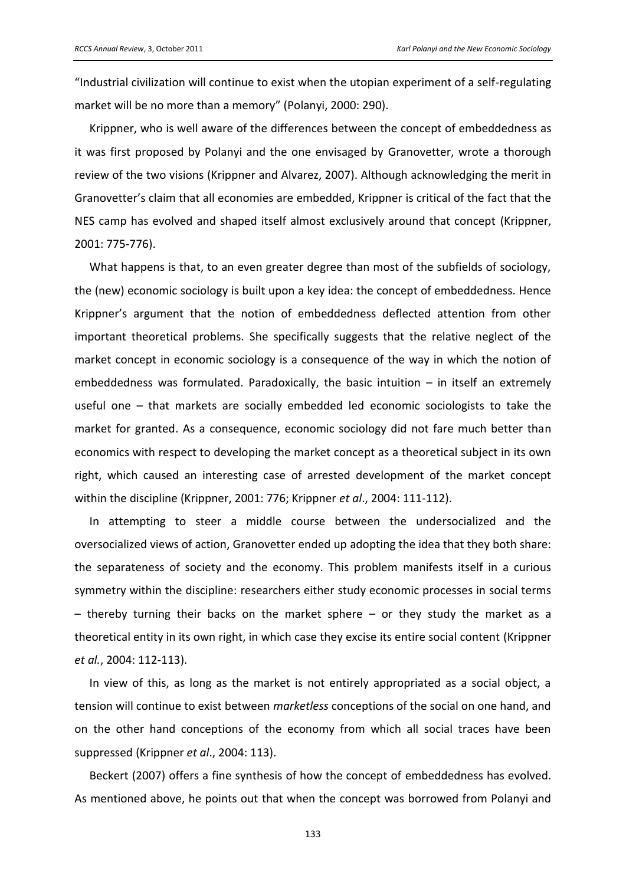͞Industrial civilization will continue to exist when the utopian experiment of a self-regulating market will be no more than a memory" (Polanyi, 2000: 290).

Krippner, who is well aware of the differences between the concept of embeddedness as it was first proposed by Polanyi and the one envisaged by Granovetter, wrote a thorough review of the two visions (Krippner and Alvarez, 2007). Although acknowledging the merit in Granovetter's claim that all economies are embedded, Krippner is critical of the fact that the NES camp has evolved and shaped itself almost exclusively around that concept (Krippner, 2001: 775-776).

What happens is that, to an even greater degree than most of the subfields of sociology, the (new) economic sociology is built upon a key idea: the concept of embeddedness. Hence Krippner's argument that the notion of embeddedness deflected attention from other important theoretical problems. She specifically suggests that the relative neglect of the market concept in economic sociology is a consequence of the way in which the notion of embeddedness was formulated. Paradoxically, the basic intuition  $-$  in itself an extremely useful one – that markets are socially embedded led economic sociologists to take the market for granted. As a consequence, economic sociology did not fare much better than economics with respect to developing the market concept as a theoretical subject in its own right, which caused an interesting case of arrested development of the market concept within the discipline (Krippner, 2001: 776; Krippner *et al*., 2004: 111-112).

In attempting to steer a middle course between the undersocialized and the oversocialized views of action, Granovetter ended up adopting the idea that they both share: the separateness of society and the economy. This problem manifests itself in a curious symmetry within the discipline: researchers either study economic processes in social terms – thereby turning their backs on the market sphere – or they study the market as a theoretical entity in its own right, in which case they excise its entire social content (Krippner *et al.*, 2004: 112-113).

In view of this, as long as the market is not entirely appropriated as a social object, a tension will continue to exist between *marketless* conceptions of the social on one hand, and on the other hand conceptions of the economy from which all social traces have been suppressed (Krippner *et al*., 2004: 113).

Beckert (2007) offers a fine synthesis of how the concept of embeddedness has evolved. As mentioned above, he points out that when the concept was borrowed from Polanyi and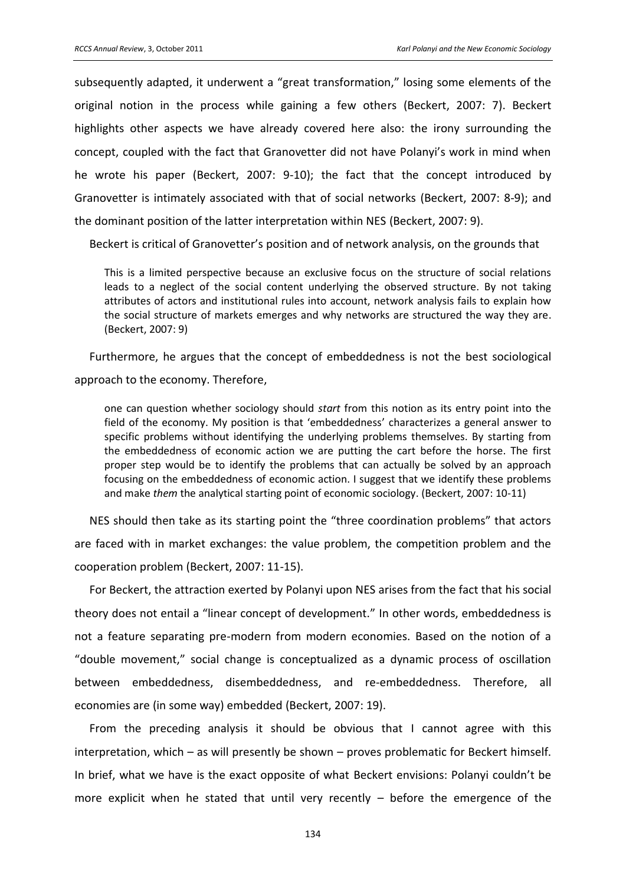subsequently adapted, it underwent a "great transformation," losing some elements of the original notion in the process while gaining a few others (Beckert, 2007: 7). Beckert highlights other aspects we have already covered here also: the irony surrounding the concept, coupled with the fact that Granovetter did not have Polanyi's work in mind when he wrote his paper (Beckert, 2007: 9-10); the fact that the concept introduced by Granovetter is intimately associated with that of social networks (Beckert, 2007: 8-9); and the dominant position of the latter interpretation within NES (Beckert, 2007: 9).

Beckert is critical of Granovetter's position and of network analysis, on the grounds that

This is a limited perspective because an exclusive focus on the structure of social relations leads to a neglect of the social content underlying the observed structure. By not taking attributes of actors and institutional rules into account, network analysis fails to explain how the social structure of markets emerges and why networks are structured the way they are. (Beckert, 2007: 9)

Furthermore, he argues that the concept of embeddedness is not the best sociological approach to the economy. Therefore,

one can question whether sociology should *start* from this notion as its entry point into the field of the economy. My position is that 'embeddedness' characterizes a general answer to specific problems without identifying the underlying problems themselves. By starting from the embeddedness of economic action we are putting the cart before the horse. The first proper step would be to identify the problems that can actually be solved by an approach focusing on the embeddedness of economic action. I suggest that we identify these problems and make *them* the analytical starting point of economic sociology. (Beckert, 2007: 10-11)

NES should then take as its starting point the "three coordination problems" that actors are faced with in market exchanges: the value problem, the competition problem and the cooperation problem (Beckert, 2007: 11-15).

For Beckert, the attraction exerted by Polanyi upon NES arises from the fact that his social theory does not entail a "linear concept of development." In other words, embeddedness is not a feature separating pre-modern from modern economies. Based on the notion of a "double movement," social change is conceptualized as a dynamic process of oscillation between embeddedness, disembeddedness, and re-embeddedness. Therefore, all economies are (in some way) embedded (Beckert, 2007: 19).

From the preceding analysis it should be obvious that I cannot agree with this interpretation, which – as will presently be shown – proves problematic for Beckert himself. In brief, what we have is the exact opposite of what Beckert envisions: Polanyi couldn't be more explicit when he stated that until very recently – before the emergence of the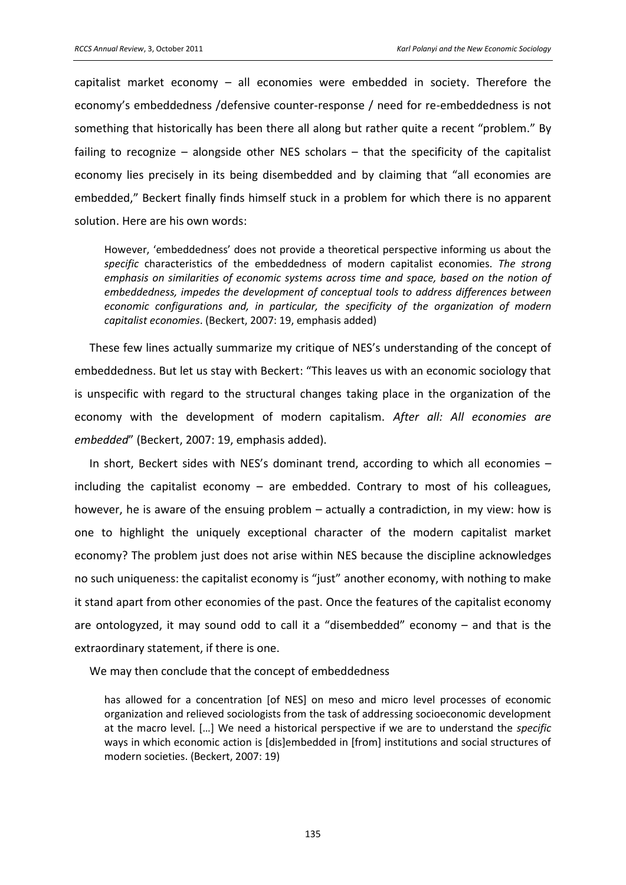capitalist market economy  $-$  all economies were embedded in society. Therefore the economy's embeddedness /defensive counter-response / need for re-embeddedness is not something that historically has been there all along but rather quite a recent "problem." By failing to recognize  $-$  alongside other NES scholars  $-$  that the specificity of the capitalist economy lies precisely in its being disembedded and by claiming that "all economies are embedded," Beckert finally finds himself stuck in a problem for which there is no apparent solution. Here are his own words:

However, 'embeddedness' does not provide a theoretical perspective informing us about the specific characteristics of the embeddedness of modern capitalist economies. The strong emphasis on similarities of economic systems across time and space, based on the notion of embeddedness, impedes the development of conceptual tools to address differences between economic configurations and, in particular, the specificity of the organization of modern capitalist economies. (Beckert, 2007: 19, emphasis added)

These few lines actually summarize my critique of NES's understanding of the concept of embeddedness. But let us stay with Beckert: "This leaves us with an economic sociology that is unspecific with regard to the structural changes taking place in the organization of the economy with the development of modern capitalism. After all: All economies are embedded" (Beckert, 2007: 19, emphasis added).

In short, Beckert sides with NES's dominant trend, according to which all economies including the capitalist economy  $-$  are embedded. Contrary to most of his colleagues. however, he is aware of the ensuing problem – actually a contradiction, in my view: how is one to highlight the uniquely exceptional character of the modern capitalist market economy? The problem just does not arise within NES because the discipline acknowledges no such uniqueness: the capitalist economy is "just" another economy, with nothing to make it stand apart from other economies of the past. Once the features of the capitalist economy are ontologyzed, it may sound odd to call it a "disembedded" economy  $-$  and that is the extraordinary statement, if there is one.

We may then conclude that the concept of embeddedness

has allowed for a concentration [of NES] on meso and micro level processes of economic organization and relieved sociologists from the task of addressing socioeconomic development at the macro level. [...] We need a historical perspective if we are to understand the specific ways in which economic action is [dis]embedded in [from] institutions and social structures of modern societies. (Beckert, 2007: 19)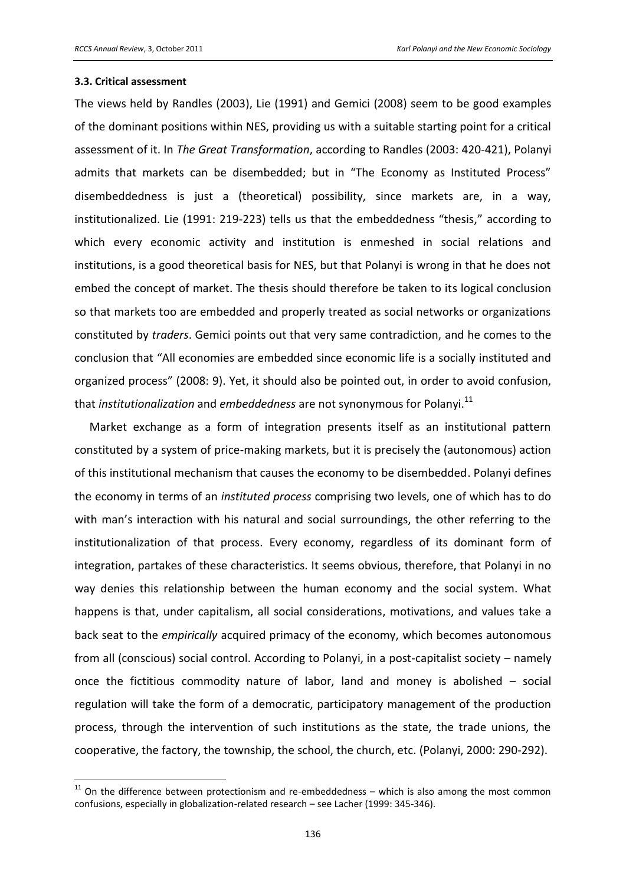#### 3.3. Critical assessment

The views held by Randles (2003), Lie (1991) and Gemici (2008) seem to be good examples of the dominant positions within NES, providing us with a suitable starting point for a critical assessment of it. In The Great Transformation, according to Randles (2003: 420-421), Polanyi admits that markets can be disembedded; but in "The Economy as Instituted Process" disembeddedness is just a (theoretical) possibility, since markets are, in a way, institutionalized. Lie (1991: 219-223) tells us that the embeddedness "thesis," according to which every economic activity and institution is enmeshed in social relations and institutions, is a good theoretical basis for NES, but that Polanyi is wrong in that he does not embed the concept of market. The thesis should therefore be taken to its logical conclusion so that markets too are embedded and properly treated as social networks or organizations constituted by *traders*. Gemici points out that very same contradiction, and he comes to the conclusion that "All economies are embedded since economic life is a socially instituted and organized process" (2008: 9). Yet, it should also be pointed out, in order to avoid confusion, that institutionalization and embeddedness are not synonymous for Polanyi.<sup>11</sup>

Market exchange as a form of integration presents itself as an institutional pattern constituted by a system of price-making markets, but it is precisely the (autonomous) action of this institutional mechanism that causes the economy to be disembedded. Polanyi defines the economy in terms of an *instituted process* comprising two levels, one of which has to do with man's interaction with his natural and social surroundings, the other referring to the institutionalization of that process. Every economy, regardless of its dominant form of integration, partakes of these characteristics. It seems obvious, therefore, that Polanyi in no way denies this relationship between the human economy and the social system. What happens is that, under capitalism, all social considerations, motivations, and values take a back seat to the empirically acquired primacy of the economy, which becomes autonomous from all (conscious) social control. According to Polanyi, in a post-capitalist society – namely once the fictitious commodity nature of labor, land and money is abolished - social regulation will take the form of a democratic, participatory management of the production process, through the intervention of such institutions as the state, the trade unions, the cooperative, the factory, the township, the school, the church, etc. (Polanyi, 2000: 290-292).

 $11$  On the difference between protectionism and re-embeddedness  $-$  which is also among the most common confusions, especially in globalization-related research - see Lacher (1999: 345-346).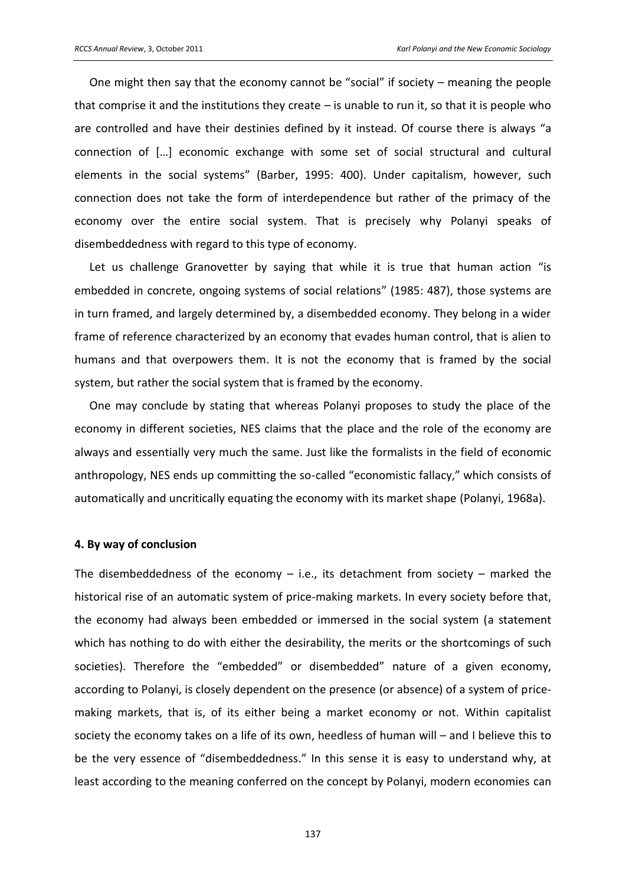One might then say that the economy cannot be "social" if society – meaning the people that comprise it and the institutions they create  $-$  is unable to run it, so that it is people who are controlled and have their destinies defined by it instead. Of course there is always "a connection of […] economic exchange with some set of social structural and cultural elements in the social systems" (Barber, 1995: 400). Under capitalism, however, such connection does not take the form of interdependence but rather of the primacy of the economy over the entire social system. That is precisely why Polanyi speaks of disembeddedness with regard to this type of economy.

Let us challenge Granovetter by saying that while it is true that human action "is embedded in concrete, ongoing systems of social relations" (1985: 487), those systems are in turn framed, and largely determined by, a disembedded economy. They belong in a wider frame of reference characterized by an economy that evades human control, that is alien to humans and that overpowers them. It is not the economy that is framed by the social system, but rather the social system that is framed by the economy.

One may conclude by stating that whereas Polanyi proposes to study the place of the economy in different societies, NES claims that the place and the role of the economy are always and essentially very much the same. Just like the formalists in the field of economic anthropology, NES ends up committing the so-called "economistic fallacy," which consists of automatically and uncritically equating the economy with its market shape (Polanyi, 1968a).

#### **4. By way of conclusion**

The disembeddedness of the economy  $-$  i.e., its detachment from society  $-$  marked the historical rise of an automatic system of price-making markets. In every society before that, the economy had always been embedded or immersed in the social system (a statement which has nothing to do with either the desirability, the merits or the shortcomings of such societies). Therefore the "embedded" or disembedded" nature of a given economy, according to Polanyi, is closely dependent on the presence (or absence) of a system of pricemaking markets, that is, of its either being a market economy or not. Within capitalist society the economy takes on a life of its own, heedless of human will – and I believe this to be the very essence of "disembeddedness." In this sense it is easy to understand why, at least according to the meaning conferred on the concept by Polanyi, modern economies can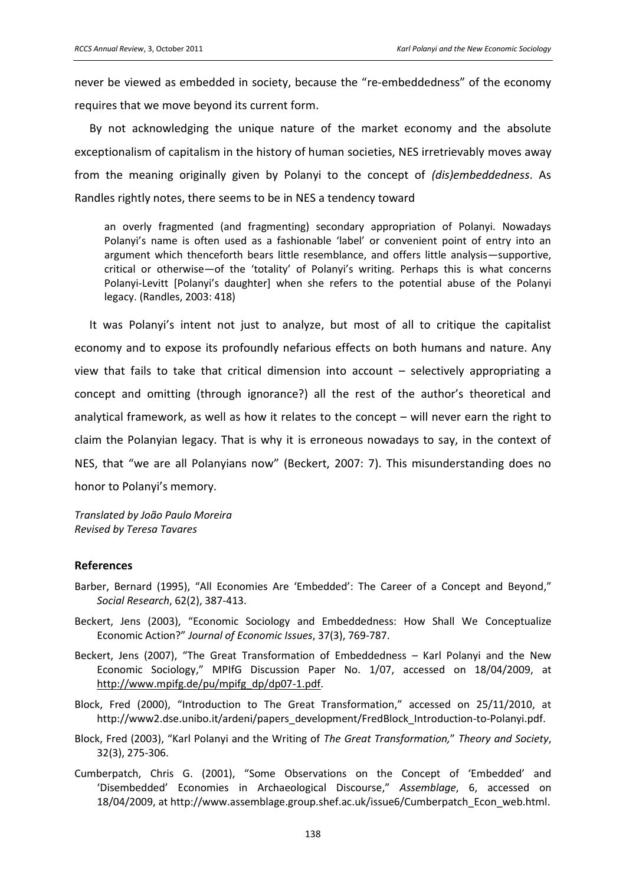never be viewed as embedded in society, because the "re-embeddedness" of the economy requires that we move beyond its current form.

By not acknowledging the unique nature of the market economy and the absolute exceptionalism of capitalism in the history of human societies, NES irretrievably moves away from the meaning originally given by Polanyi to the concept of *(dis)embeddedness*. As Randles rightly notes, there seems to be in NES a tendency toward

an overly fragmented (and fragmenting) secondary appropriation of Polanyi. Nowadays Polanyi's name is often used as a fashionable 'label' or convenient point of entry into an argument which thenceforth bears little resemblance, and offers little analysis—supportive, critical or otherwise-of the 'totality' of Polanyi's writing. Perhaps this is what concerns Polanyi-Levitt [Polanyi's daughter] when she refers to the potential abuse of the Polanyi legacy. (Randles, 2003: 418)

It was Polanyi's intent not just to analyze, but most of all to critique the capitalist economy and to expose its profoundly nefarious effects on both humans and nature. Any view that fails to take that critical dimension into account  $-$  selectively appropriating a concept and omitting (through ignorance?) all the rest of the author's theoretical and analytical framework, as well as how it relates to the concept – will never earn the right to claim the Polanyian legacy. That is why it is erroneous nowadays to say, in the context of NES, that "we are all Polanyians now" (Beckert, 2007: 7). This misunderstanding does no honor to Polanyi's memory.

Translated by João Paulo Moreira **Revised by Teresa Tavares** 

#### **References**

- Barber, Bernard (1995), "All Economies Are 'Embedded': The Career of a Concept and Beyond," Social Research, 62(2), 387-413.
- Beckert, Jens (2003), "Economic Sociology and Embeddedness: How Shall We Conceptualize Economic Action?" Journal of Economic Issues, 37(3), 769-787.
- Beckert, Jens (2007), "The Great Transformation of Embeddedness Karl Polanyi and the New Economic Sociology," MPIfG Discussion Paper No. 1/07, accessed on 18/04/2009, at http://www.mpifg.de/pu/mpifg\_dp/dp07-1.pdf.
- Block, Fred (2000), "Introduction to The Great Transformation," accessed on 25/11/2010, at http://www2.dse.unibo.it/ardeni/papers\_development/FredBlock\_Introduction-to-Polanyi.pdf.
- Block, Fred (2003), "Karl Polanyi and the Writing of The Great Transformation," Theory and Society, 32(3), 275-306.
- Cumberpatch, Chris G. (2001), "Some Observations on the Concept of 'Embedded' and 'Disembedded' Economies in Archaeological Discourse," Assemblage, 6, accessed on 18/04/2009, at http://www.assemblage.group.shef.ac.uk/issue6/Cumberpatch Econ web.html.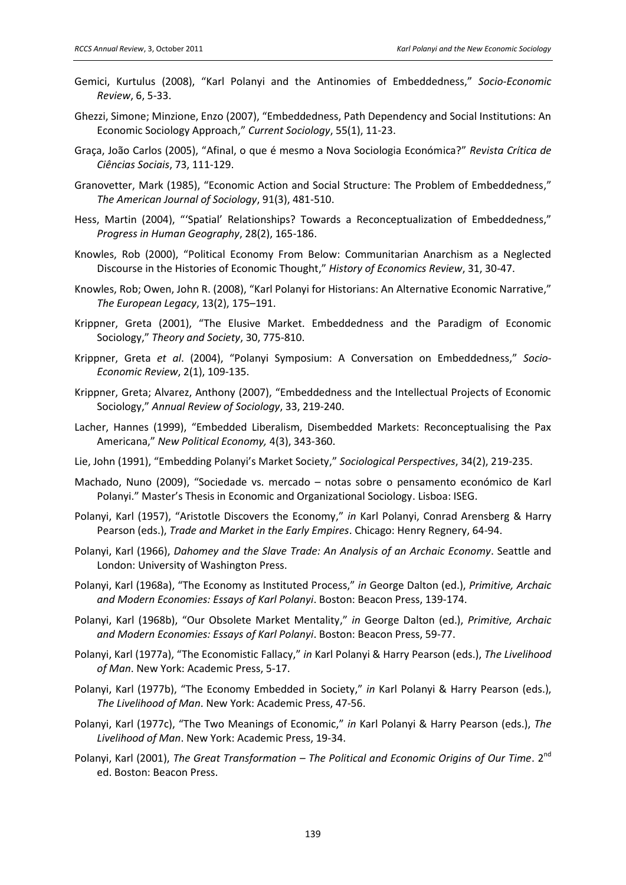- Gemici, Kurtulus (2008), "Karl Polanyi and the Antinomies of Embeddedness," Socio-Economic Review, 6, 5-33.
- Ghezzi, Simone; Minzione, Enzo (2007), "Embeddedness, Path Dependency and Social Institutions: An Economic Sociology Approach," Current Sociology, 55(1), 11-23.
- Graça, João Carlos (2005), "Afinal, o que é mesmo a Nova Sociologia Económica?" Revista Crítica de Ciências Sociais, 73, 111-129.
- Granovetter, Mark (1985), "Economic Action and Social Structure: The Problem of Embeddedness," The American Journal of Sociology, 91(3), 481-510.
- Hess, Martin (2004), "'Spatial' Relationships? Towards a Reconceptualization of Embeddedness," Progress in Human Geography, 28(2), 165-186.
- Knowles, Rob (2000), "Political Economy From Below: Communitarian Anarchism as a Neglected Discourse in the Histories of Economic Thought," History of Economics Review, 31, 30-47.
- Knowles, Rob; Owen, John R. (2008), "Karl Polanyi for Historians: An Alternative Economic Narrative," The European Legacy, 13(2), 175-191.
- Krippner, Greta (2001), "The Elusive Market. Embeddedness and the Paradigm of Economic Sociology," Theory and Society, 30, 775-810.
- Krippner, Greta et al. (2004), "Polanyi Symposium: A Conversation on Embeddedness," Socio-Economic Review, 2(1), 109-135.
- Krippner, Greta; Alvarez, Anthony (2007), "Embeddedness and the Intellectual Projects of Economic Sociology," Annual Review of Sociology, 33, 219-240.
- Lacher, Hannes (1999), "Embedded Liberalism, Disembedded Markets: Reconceptualising the Pax Americana," New Political Economy, 4(3), 343-360.
- Lie, John (1991), "Embedding Polanyi's Market Society," Sociological Perspectives, 34(2), 219-235.
- Machado, Nuno (2009), "Sociedade vs. mercado notas sobre o pensamento económico de Karl Polanyi." Master's Thesis in Economic and Organizational Sociology. Lisboa: ISEG.
- Polanyi, Karl (1957), "Aristotle Discovers the Economy," in Karl Polanyi, Conrad Arensberg & Harry Pearson (eds.), Trade and Market in the Early Empires. Chicago: Henry Regnery, 64-94.
- Polanyi, Karl (1966), Dahomey and the Slave Trade: An Analysis of an Archaic Economy. Seattle and London: University of Washington Press.
- Polanyi, Karl (1968a), "The Economy as Instituted Process," in George Dalton (ed.), Primitive, Archaic and Modern Economies: Essays of Karl Polanyi. Boston: Beacon Press, 139-174.
- Polanyi, Karl (1968b), "Our Obsolete Market Mentality," in George Dalton (ed.), Primitive, Archaic and Modern Economies: Essays of Karl Polanyi. Boston: Beacon Press, 59-77.
- Polanyi, Karl (1977a), "The Economistic Fallacy," in Karl Polanyi & Harry Pearson (eds.), The Livelihood of Man. New York: Academic Press, 5-17.
- Polanyi, Karl (1977b), "The Economy Embedded in Society," in Karl Polanyi & Harry Pearson (eds.), The Livelihood of Man. New York: Academic Press, 47-56.
- Polanyi, Karl (1977c), "The Two Meanings of Economic," in Karl Polanyi & Harry Pearson (eds.), The Livelihood of Man. New York: Academic Press, 19-34.
- Polanyi, Karl (2001), The Great Transformation The Political and Economic Origins of Our Time. 2<sup>nd</sup> ed. Boston: Beacon Press.